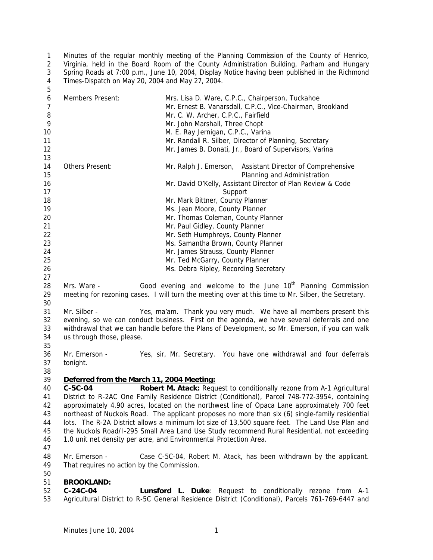Minutes of the regular monthly meeting of the Planning Commission of the County of Henrico, Virginia, held in the Board Room of the County Administration Building, Parham and Hungary Spring Roads at 7:00 p.m., June 10, 2004, Display Notice having been published in the Richmond Times-Dispatch on May 20, 2004 and May 27, 2004. 

| 6<br>$\overline{7}$ | Members Present:                                                                                                                                                                              | Mrs. Lisa D. Ware, C.P.C., Chairperson, Tuckahoe<br>Mr. Ernest B. Vanarsdall, C.P.C., Vice-Chairman, Brookland |  |
|---------------------|-----------------------------------------------------------------------------------------------------------------------------------------------------------------------------------------------|----------------------------------------------------------------------------------------------------------------|--|
| 8                   |                                                                                                                                                                                               | Mr. C. W. Archer, C.P.C., Fairfield                                                                            |  |
| 9                   |                                                                                                                                                                                               | Mr. John Marshall, Three Chopt                                                                                 |  |
| 10                  |                                                                                                                                                                                               | M. E. Ray Jernigan, C.P.C., Varina                                                                             |  |
| 11                  |                                                                                                                                                                                               | Mr. Randall R. Silber, Director of Planning, Secretary                                                         |  |
| 12                  |                                                                                                                                                                                               | Mr. James B. Donati, Jr., Board of Supervisors, Varina                                                         |  |
| 13                  |                                                                                                                                                                                               |                                                                                                                |  |
| 14<br>15            | Others Present:                                                                                                                                                                               | Mr. Ralph J. Emerson, Assistant Director of Comprehensive<br>Planning and Administration                       |  |
| 16                  |                                                                                                                                                                                               | Mr. David O'Kelly, Assistant Director of Plan Review & Code                                                    |  |
| 17                  |                                                                                                                                                                                               | Support                                                                                                        |  |
| 18                  |                                                                                                                                                                                               | Mr. Mark Bittner, County Planner                                                                               |  |
| 19                  |                                                                                                                                                                                               | Ms. Jean Moore, County Planner                                                                                 |  |
| 20                  |                                                                                                                                                                                               | Mr. Thomas Coleman, County Planner                                                                             |  |
| 21                  |                                                                                                                                                                                               | Mr. Paul Gidley, County Planner                                                                                |  |
| 22                  |                                                                                                                                                                                               | Mr. Seth Humphreys, County Planner                                                                             |  |
| 23                  |                                                                                                                                                                                               | Ms. Samantha Brown, County Planner                                                                             |  |
| 24                  |                                                                                                                                                                                               | Mr. James Strauss, County Planner                                                                              |  |
| 25                  |                                                                                                                                                                                               | Mr. Ted McGarry, County Planner                                                                                |  |
| 26                  |                                                                                                                                                                                               | Ms. Debra Ripley, Recording Secretary                                                                          |  |
| 27                  |                                                                                                                                                                                               |                                                                                                                |  |
| 28                  | Mrs. Ware -                                                                                                                                                                                   | Good evening and welcome to the June 10 <sup>th</sup> Planning Commission                                      |  |
| 29                  |                                                                                                                                                                                               | meeting for rezoning cases. I will turn the meeting over at this time to Mr. Silber, the Secretary.            |  |
| 30                  |                                                                                                                                                                                               |                                                                                                                |  |
| 31                  | Mr. Silber -                                                                                                                                                                                  | Yes, ma'am. Thank you very much. We have all members present this                                              |  |
| 32                  |                                                                                                                                                                                               | evening, so we can conduct business. First on the agenda, we have several deferrals and one                    |  |
| 33                  |                                                                                                                                                                                               | withdrawal that we can handle before the Plans of Development, so Mr. Emerson, if you can walk                 |  |
| 34                  | us through those, please.                                                                                                                                                                     |                                                                                                                |  |
| 35                  |                                                                                                                                                                                               |                                                                                                                |  |
| 36                  | Mr. Emerson -                                                                                                                                                                                 | Yes, sir, Mr. Secretary. You have one withdrawal and four deferrals                                            |  |
| 37                  | tonight.                                                                                                                                                                                      |                                                                                                                |  |
| 38                  |                                                                                                                                                                                               |                                                                                                                |  |
| 39                  | Deferred from the March 11, 2004 Meeting:                                                                                                                                                     |                                                                                                                |  |
| 40                  | C-5C-04                                                                                                                                                                                       | Robert M. Atack: Request to conditionally rezone from A-1 Agricultural                                         |  |
| 41<br>42            |                                                                                                                                                                                               | District to R-2AC One Family Residence District (Conditional), Parcel 748-772-3954, containing                 |  |
| 43                  |                                                                                                                                                                                               | approximately 4.90 acres, located on the northwest line of Opaca Lane approximately 700 feet                   |  |
| 44                  |                                                                                                                                                                                               | northeast of Nuckols Road. The applicant proposes no more than six (6) single-family residential               |  |
| 45                  | lots. The R-2A District allows a minimum lot size of 13,500 square feet. The Land Use Plan and<br>the Nuckols Road/I-295 Small Area Land Use Study recommend Rural Residential, not exceeding |                                                                                                                |  |
| 46                  |                                                                                                                                                                                               | 1.0 unit net density per acre, and Environmental Protection Area.                                              |  |
| 47                  |                                                                                                                                                                                               |                                                                                                                |  |
| 48                  | Mr. Emerson -                                                                                                                                                                                 | Case C-5C-04, Robert M. Atack, has been withdrawn by the applicant.                                            |  |
| 49                  | That requires no action by the Commission.                                                                                                                                                    |                                                                                                                |  |
| 50                  |                                                                                                                                                                                               |                                                                                                                |  |
| 51                  | <b>BROOKLAND:</b>                                                                                                                                                                             |                                                                                                                |  |
|                     |                                                                                                                                                                                               |                                                                                                                |  |

 **C-24C-04 Lunsford L. Duke**: Request to conditionally rezone from A-1 Agricultural District to R-5C General Residence District (Conditional), Parcels 761-769-6447 and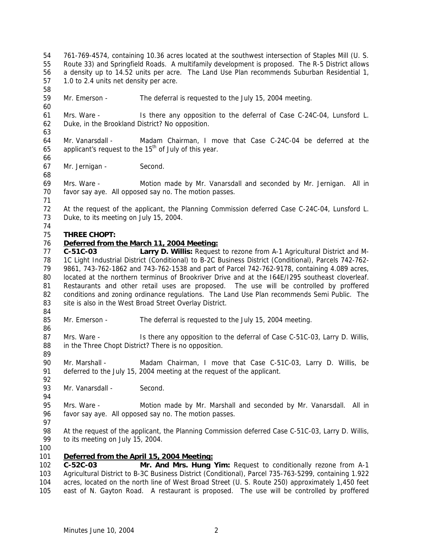761-769-4574, containing 10.36 acres located at the southwest intersection of Staples Mill (U. S. Route 33) and Springfield Roads. A multifamily development is proposed. The R-5 District allows a density up to 14.52 units per acre. The Land Use Plan recommends Suburban Residential 1, 1.0 to 2.4 units net density per acre. Mr. Emerson - The deferral is requested to the July 15, 2004 meeting. Mrs. Ware - Is there any opposition to the deferral of Case C-24C-04, Lunsford L. Duke, in the Brookland District? No opposition. Mr. Vanarsdall - Madam Chairman, I move that Case C-24C-04 be deferred at the 65 applicant's request to the  $15<sup>th</sup>$  of July of this year. Mr. Jernigan - Second. Mrs. Ware - Motion made by Mr. Vanarsdall and seconded by Mr. Jernigan. All in favor say aye. All opposed say no. The motion passes. At the request of the applicant, the Planning Commission deferred Case C-24C-04, Lunsford L. Duke, to its meeting on July 15, 2004. **THREE CHOPT:** *Deferred from the March 11, 2004 Meeting:* **C-51C-03 Larry D. Willis:** Request to rezone from A-1 Agricultural District and M- 1C Light Industrial District (Conditional) to B-2C Business District (Conditional), Parcels 742-762- 9861, 743-762-1862 and 743-762-1538 and part of Parcel 742-762-9178, containing 4.089 acres, located at the northern terminus of Brookriver Drive and at the I64E/I295 southeast cloverleaf. Restaurants and other retail uses are proposed. The use will be controlled by proffered conditions and zoning ordinance regulations. The Land Use Plan recommends Semi Public. The 83 site is also in the West Broad Street Overlay District. Mr. Emerson - The deferral is requested to the July 15, 2004 meeting. 87 Mrs. Ware - Is there any opposition to the deferral of Case C-51C-03, Larry D. Willis, in the Three Chopt District? There is no opposition. Mr. Marshall - Madam Chairman, I move that Case C-51C-03, Larry D. Willis, be deferred to the July 15, 2004 meeting at the request of the applicant. 93 Mr. Vanarsdall - Second. Mrs. Ware - Motion made by Mr. Marshall and seconded by Mr. Vanarsdall. All in favor say aye. All opposed say no. The motion passes. 98 At the request of the applicant, the Planning Commission deferred Case C-51C-03, Larry D. Willis, to its meeting on July 15, 2004. *Deferred from the April 15, 2004 Meeting:* **C-52C-03 Mr. And Mrs. Hung Yim:** Request to conditionally rezone from A-1 Agricultural District to B-3C Business District (Conditional), Parcel 735-763-5299, containing 1.922 acres, located on the north line of West Broad Street (U. S. Route 250) approximately 1,450 feet east of N. Gayton Road. A restaurant is proposed. The use will be controlled by proffered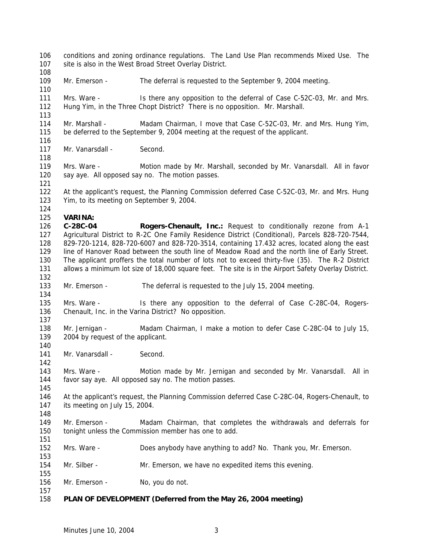- conditions and zoning ordinance regulations. The Land Use Plan recommends Mixed Use. The site is also in the West Broad Street Overlay District.
- 

- 109 Mr. Emerson The deferral is requested to the September 9, 2004 meeting.
- Mrs. Ware Is there any opposition to the deferral of Case C-52C-03, Mr. and Mrs. Hung Yim, in the Three Chopt District? There is no opposition. Mr. Marshall.
- Mr. Marshall Madam Chairman, I move that Case C-52C-03, Mr. and Mrs. Hung Yim, be deferred to the September 9, 2004 meeting at the request of the applicant.
- 117 Mr. Vanarsdall Second.
- Mrs. Ware Motion made by Mr. Marshall, seconded by Mr. Vanarsdall. All in favor say aye. All opposed say no. The motion passes.
- At the applicant's request, the Planning Commission deferred Case C-52C-03, Mr. and Mrs. Hung Yim, to its meeting on September 9, 2004.

## **VARINA:**

- **C-28C-04 Rogers-Chenault, Inc.:** Request to conditionally rezone from A-1 Agricultural District to R-2C One Family Residence District (Conditional), Parcels 828-720-7544, 829-720-1214, 828-720-6007 and 828-720-3514, containing 17.432 acres, located along the east line of Hanover Road between the south line of Meadow Road and the north line of Early Street. The applicant proffers the total number of lots not to exceed thirty-five (35). The R-2 District allows a minimum lot size of 18,000 square feet. The site is in the Airport Safety Overlay District.
- Mr. Emerson The deferral is requested to the July 15, 2004 meeting.
- Mrs. Ware Is there any opposition to the deferral of Case C-28C-04, Rogers-Chenault, Inc. in the Varina District? No opposition.
- Mr. Jernigan Madam Chairman, I make a motion to defer Case C-28C-04 to July 15, 139 2004 by request of the applicant.
- 141 Mr. Vanarsdall Second.

 Mrs. Ware - Motion made by Mr. Jernigan and seconded by Mr. Vanarsdall. All in favor say aye. All opposed say no. The motion passes.

- 146 At the applicant's request, the Planning Commission deferred Case C-28C-04, Rogers-Chenault, to its meeting on July 15, 2004.
- 149 Mr. Emerson Madam Chairman, that completes the withdrawals and deferrals for tonight unless the Commission member has one to add.
- Mrs. Ware Does anybody have anything to add? No. Thank you, Mr. Emerson.
- Mr. Silber Mr. Emerson, we have no expedited items this evening.
- 156 Mr. Emerson No, you do not.

## **PLAN OF DEVELOPMENT (Deferred from the May 26, 2004 meeting)**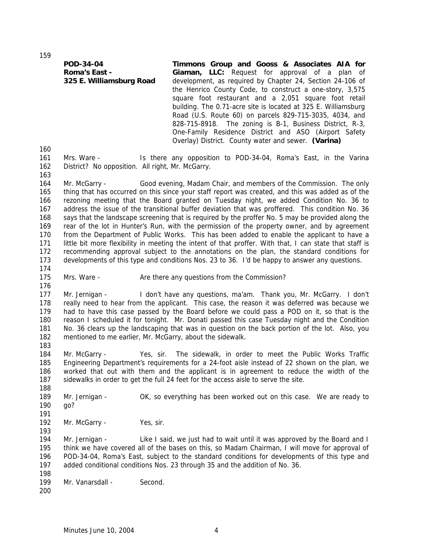**POD-34-04 Roma's East -**

**325 E. Williamsburg Road**

square foot restaurant and a 2,051 square foot retail building. The 0.71-acre site is located at 325 E. Williamsburg Road (U.S. Route 60) on parcels 829-715-3035, 4034, and 828-715-8918. The zoning is B-1, Business District, R-3, One-Family Residence District and ASO (Airport Safety Overlay) District. County water and sewer. **(Varina)** Mrs. Ware - Is there any opposition to POD-34-04, Roma's East, in the Varina District? No opposition. All right, Mr. McGarry. Mr. McGarry - Good evening, Madam Chair, and members of the Commission. The only thing that has occurred on this since your staff report was created, and this was added as of the rezoning meeting that the Board granted on Tuesday night, we added Condition No. 36 to address the issue of the transitional buffer deviation that was proffered. This condition No. 36 says that the landscape screening that is required by the proffer No. 5 may be provided along the rear of the lot in Hunter's Run, with the permission of the property owner, and by agreement from the Department of Public Works. This has been added to enable the applicant to have a little bit more flexibility in meeting the intent of that proffer. With that, I can state that staff is recommending approval subject to the annotations on the plan, the standard conditions for developments of this type and conditions Nos. 23 to 36. I'd be happy to answer any questions. 175 Mrs. Ware - Are there any questions from the Commission? Mr. Jernigan - I don't have any questions, ma'am. Thank you, Mr. McGarry. I don't really need to hear from the applicant. This case, the reason it was deferred was because we had to have this case passed by the Board before we could pass a POD on it, so that is the reason I scheduled it for tonight. Mr. Donati passed this case Tuesday night and the Condition No. 36 clears up the landscaping that was in question on the back portion of the lot. Also, you mentioned to me earlier, Mr. McGarry, about the sidewalk. Mr. McGarry - Yes, sir. The sidewalk, in order to meet the Public Works Traffic Engineering Department's requirements for a 24-foot aisle instead of 22 shown on the plan, we worked that out with them and the applicant is in agreement to reduce the width of the sidewalks in order to get the full 24 feet for the access aisle to serve the site. 189 Mr. Jernigan - OK, so everything has been worked out on this case. We are ready to go? 192 Mr. McGarry - Yes, sir. 194 Mr. Jernigan - Like I said, we just had to wait until it was approved by the Board and I think we have covered all of the bases on this, so Madam Chairman, I will move for approval of POD-34-04, Roma's East, subject to the standard conditions for developments of this type and added conditional conditions Nos. 23 through 35 and the addition of No. 36. 199 Mr. Vanarsdall - Second. 

**Timmons Group and Gooss & Associates AIA for Giaman, LLC:** Request for approval of a plan of development, as required by Chapter 24, Section 24-106 of the Henrico County Code, to construct a one-story, 3,575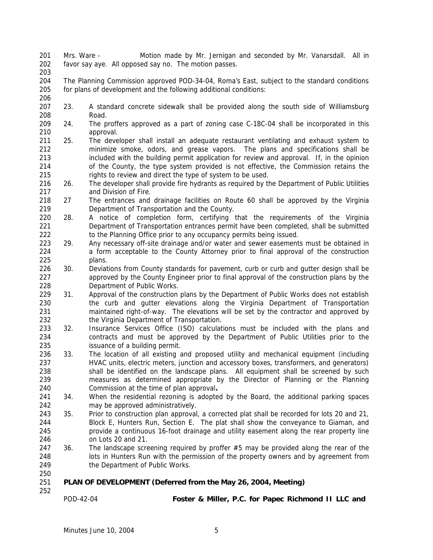- Mrs. Ware Motion made by Mr. Jernigan and seconded by Mr. Vanarsdall. All in favor say aye. All opposed say no. The motion passes.
- 
- The Planning Commission approved POD-34-04, Roma's East, subject to the standard conditions for plans of development and the following additional conditions:
- 23. A standard concrete sidewalk shall be provided along the south side of Williamsburg Road.
- 24. The proffers approved as a part of zoning case C-18C-04 shall be incorporated in this approval.
- 25. The developer shall install an adequate restaurant ventilating and exhaust system to minimize smoke, odors, and grease vapors. The plans and specifications shall be included with the building permit application for review and approval. If, in the opinion of the County, the type system provided is not effective, the Commission retains the rights to review and direct the type of system to be used.
- 26. The developer shall provide fire hydrants as required by the Department of Public Utilities and Division of Fire.
- 27 The entrances and drainage facilities on Route 60 shall be approved by the Virginia Department of Transportation and the County.
- 28. A notice of completion form, certifying that the requirements of the Virginia Department of Transportation entrances permit have been completed, shall be submitted 222 to the Planning Office prior to any occupancy permits being issued.
- 29. Any necessary off-site drainage and/or water and sewer easements must be obtained in a form acceptable to the County Attorney prior to final approval of the construction plans.
- 226 30. Deviations from County standards for pavement, curb or curb and gutter design shall be approved by the County Engineer prior to final approval of the construction plans by the Department of Public Works.
- 229 31. Approval of the construction plans by the Department of Public Works does not establish the curb and gutter elevations along the Virginia Department of Transportation maintained right-of-way. The elevations will be set by the contractor and approved by the Virginia Department of Transportation.
- 32. Insurance Services Office (ISO) calculations must be included with the plans and contracts and must be approved by the Department of Public Utilities prior to the issuance of a building permit.
- 33. The location of all existing and proposed utility and mechanical equipment (including HVAC units, electric meters, junction and accessory boxes, transformers, and generators) 238 shall be identified on the landscape plans. All equipment shall be screened by such measures as determined appropriate by the Director of Planning or the Planning Commission at the time of plan approval**.**
- 34. When the residential rezoning is adopted by the Board, the additional parking spaces may be approved administratively.
- 243 35. Prior to construction plan approval, a corrected plat shall be recorded for lots 20 and 21, Block E, Hunters Run, Section E. The plat shall show the conveyance to Giaman, and provide a continuous 16-foot drainage and utility easement along the rear property line on Lots 20 and 21.
- 247 36. The landscape screening required by proffer #5 may be provided along the rear of the lots in Hunters Run with the permission of the property owners and by agreement from the Department of Public Works.
- **PLAN OF DEVELOPMENT (Deferred from the May 26, 2004, Meeting)**
	-

POD-42-04 **Foster & Miller, P.C. for Papec Richmond II LLC and**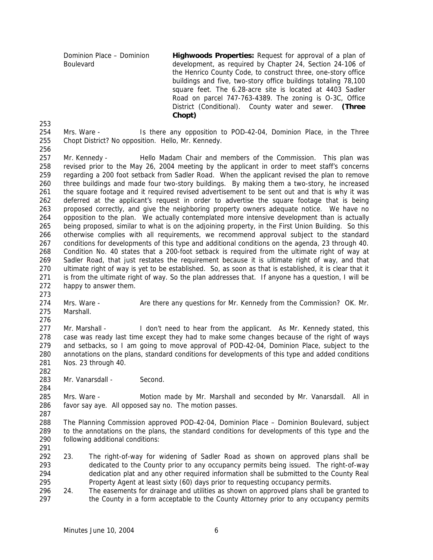Dominion Place – Dominion Boulevard **Highwoods Properties:** Request for approval of a plan of development, as required by Chapter 24, Section 24-106 of the Henrico County Code, to construct three, one-story office buildings and five, two-story office buildings totaling 78,100 square feet. The 6.28-acre site is located at 4403 Sadler Road on parcel 747-763-4389. The zoning is O-3C, Office District (Conditional). County water and sewer. **(Three Chopt)**

 Mrs. Ware - Is there any opposition to POD-42-04, Dominion Place, in the Three Chopt District? No opposition. Hello, Mr. Kennedy.

 Mr. Kennedy - Hello Madam Chair and members of the Commission. This plan was revised prior to the May 26, 2004 meeting by the applicant in order to meet staff's concerns regarding a 200 foot setback from Sadler Road. When the applicant revised the plan to remove three buildings and made four two-story buildings. By making them a two-story, he increased the square footage and it required revised advertisement to be sent out and that is why it was deferred at the applicant's request in order to advertise the square footage that is being proposed correctly, and give the neighboring property owners adequate notice. We have no opposition to the plan. We actually contemplated more intensive development than is actually being proposed, similar to what is on the adjoining property, in the First Union Building. So this otherwise complies with all requirements, we recommend approval subject to the standard conditions for developments of this type and additional conditions on the agenda, 23 through 40. Condition No. 40 states that a 200-foot setback is required from the ultimate right of way at Sadler Road, that just restates the requirement because it is ultimate right of way, and that ultimate right of way is yet to be established. So, as soon as that is established, it is clear that it is from the ultimate right of way. So the plan addresses that. If anyone has a question, I will be happy to answer them.

274 Mrs. Ware - Are there any questions for Mr. Kennedy from the Commission? OK. Mr. Marshall.

277 Mr. Marshall - I don't need to hear from the applicant. As Mr. Kennedy stated, this case was ready last time except they had to make some changes because of the right of ways and setbacks, so I am going to move approval of POD-42-04, Dominion Place, subject to the annotations on the plans, standard conditions for developments of this type and added conditions Nos. 23 through 40.

283 Mr. Vanarsdall - Second.

285 Mrs. Ware - Motion made by Mr. Marshall and seconded by Mr. Vanarsdall. All in favor say aye. All opposed say no. The motion passes.

 The Planning Commission approved POD-42-04, Dominion Place – Dominion Boulevard, subject to the annotations on the plans, the standard conditions for developments of this type and the following additional conditions:

- 
- 23. The right-of-way for widening of Sadler Road as shown on approved plans shall be dedicated to the County prior to any occupancy permits being issued. The right-of-way dedication plat and any other required information shall be submitted to the County Real Property Agent at least sixty (60) days prior to requesting occupancy permits.
- 24. The easements for drainage and utilities as shown on approved plans shall be granted to the County in a form acceptable to the County Attorney prior to any occupancy permits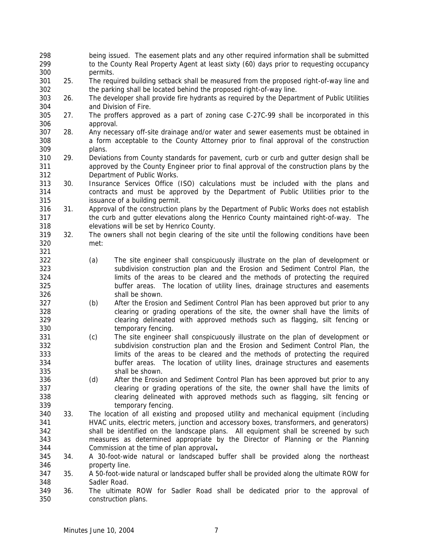being issued. The easement plats and any other required information shall be submitted to the County Real Property Agent at least sixty (60) days prior to requesting occupancy permits. 25. The required building setback shall be measured from the proposed right-of-way line and the parking shall be located behind the proposed right-of-way line. 26. The developer shall provide fire hydrants as required by the Department of Public Utilities and Division of Fire. 27. The proffers approved as a part of zoning case C-27C-99 shall be incorporated in this approval. 28. Any necessary off-site drainage and/or water and sewer easements must be obtained in a form acceptable to the County Attorney prior to final approval of the construction plans. 29. Deviations from County standards for pavement, curb or curb and gutter design shall be approved by the County Engineer prior to final approval of the construction plans by the Department of Public Works. 30. Insurance Services Office (ISO) calculations must be included with the plans and contracts and must be approved by the Department of Public Utilities prior to the issuance of a building permit. 31. Approval of the construction plans by the Department of Public Works does not establish the curb and gutter elevations along the Henrico County maintained right-of-way. The elevations will be set by Henrico County. 32. The owners shall not begin clearing of the site until the following conditions have been met: (a) The site engineer shall conspicuously illustrate on the plan of development or subdivision construction plan and the Erosion and Sediment Control Plan, the limits of the areas to be cleared and the methods of protecting the required buffer areas. The location of utility lines, drainage structures and easements shall be shown. (b) After the Erosion and Sediment Control Plan has been approved but prior to any clearing or grading operations of the site, the owner shall have the limits of clearing delineated with approved methods such as flagging, silt fencing or temporary fencing. (c) The site engineer shall conspicuously illustrate on the plan of development or subdivision construction plan and the Erosion and Sediment Control Plan, the limits of the areas to be cleared and the methods of protecting the required buffer areas. The location of utility lines, drainage structures and easements shall be shown. (d) After the Erosion and Sediment Control Plan has been approved but prior to any clearing or grading operations of the site, the owner shall have the limits of clearing delineated with approved methods such as flagging, silt fencing or temporary fencing. 33. The location of all existing and proposed utility and mechanical equipment (including HVAC units, electric meters, junction and accessory boxes, transformers, and generators) shall be identified on the landscape plans. All equipment shall be screened by such measures as determined appropriate by the Director of Planning or the Planning Commission at the time of plan approval**.** 34. A 30-foot-wide natural or landscaped buffer shall be provided along the northeast property line. 35. A 50-foot-wide natural or landscaped buffer shall be provided along the ultimate ROW for Sadler Road. 36. The ultimate ROW for Sadler Road shall be dedicated prior to the approval of construction plans.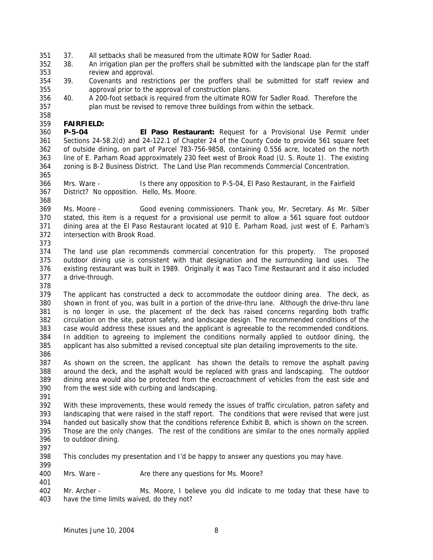- 37. All setbacks shall be measured from the ultimate ROW for Sadler Road.
- 38. An irrigation plan per the proffers shall be submitted with the landscape plan for the staff review and approval.
- 39. Covenants and restrictions per the proffers shall be submitted for staff review and approval prior to the approval of construction plans.
- 40. A 200-foot setback is required from the ultimate ROW for Sadler Road. Therefore the plan must be revised to remove three buildings from within the setback.

## **FAIRFIELD:**

 **P-5-04 El Paso Restaurant:** Request for a Provisional Use Permit under Sections 24-58.2(d) and 24-122.1 of Chapter 24 of the County Code to provide 561 square feet of outside dining, on part of Parcel 783-756-9858, containing 0.556 acre, located on the north line of E. Parham Road approximately 230 feet west of Brook Road (U. S. Route 1). The existing zoning is B-2 Business District. The Land Use Plan recommends Commercial Concentration.

 Mrs. Ware - Is there any opposition to P-5-04, El Paso Restaurant, in the Fairfield District? No opposition. Hello, Ms. Moore.

 Ms. Moore - Good evening commissioners. Thank you, Mr. Secretary. As Mr. Silber stated, this item is a request for a provisional use permit to allow a 561 square foot outdoor dining area at the El Paso Restaurant located at 910 E. Parham Road, just west of E. Parham's intersection with Brook Road.

 The land use plan recommends commercial concentration for this property. The proposed outdoor dining use is consistent with that designation and the surrounding land uses. The existing restaurant was built in 1989. Originally it was Taco Time Restaurant and it also included a drive-through.

 The applicant has constructed a deck to accommodate the outdoor dining area. The deck, as shown in front of you, was built in a portion of the drive-thru lane. Although the drive-thru lane is no longer in use, the placement of the deck has raised concerns regarding both traffic circulation on the site, patron safety, and landscape design. The recommended conditions of the case would address these issues and the applicant is agreeable to the recommended conditions. In addition to agreeing to implement the conditions normally applied to outdoor dining, the applicant has also submitted a revised conceptual site plan detailing improvements to the site.

 As shown on the screen, the applicant has shown the details to remove the asphalt paving around the deck, and the asphalt would be replaced with grass and landscaping. The outdoor dining area would also be protected from the encroachment of vehicles from the east side and from the west side with curbing and landscaping.

 With these improvements, these would remedy the issues of traffic circulation, patron safety and landscaping that were raised in the staff report. The conditions that were revised that were just handed out basically show that the conditions reference Exhibit B, which is shown on the screen. Those are the only changes. The rest of the conditions are similar to the ones normally applied to outdoor dining.

 This concludes my presentation and I'd be happy to answer any questions you may have. 

400 Mrs. Ware - Are there any questions for Ms. Moore?

 Mr. Archer - Ms. Moore, I believe you did indicate to me today that these have to have the time limits waived, do they not?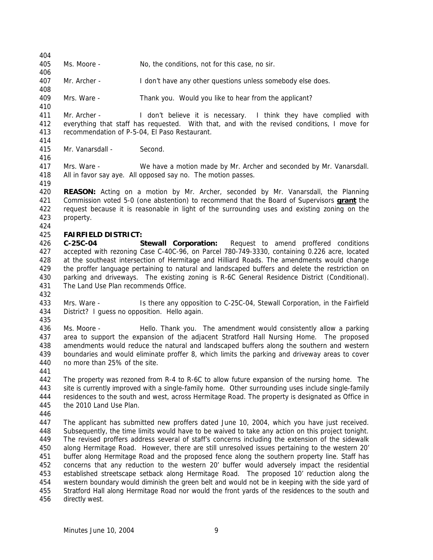Ms. Moore - No, the conditions, not for this case, no sir.

Mr. Archer - I don't have any other questions unless somebody else does.

Mrs. Ware - Thank you. Would you like to hear from the applicant?

 Mr. Archer - I don't believe it is necessary. I think they have complied with everything that staff has requested. With that, and with the revised conditions, I move for recommendation of P-5-04, El Paso Restaurant.

Mr. Vanarsdall - Second.

 Mrs. Ware - We have a motion made by Mr. Archer and seconded by Mr. Vanarsdall. All in favor say aye. All opposed say no. The motion passes.

 **REASON:** Acting on a motion by Mr. Archer, seconded by Mr. Vanarsdall, the Planning Commission voted 5-0 (one abstention) to recommend that the Board of Supervisors **grant** the request because it is reasonable in light of the surrounding uses and existing zoning on the property.

## **FAIRFIELD DISTRICT:**

 **C-25C-04 Stewall Corporation:** Request to amend proffered conditions accepted with rezoning Case C-40C-96, on Parcel 780-749-3330, containing 0.226 acre, located at the southeast intersection of Hermitage and Hilliard Roads. The amendments would change the proffer language pertaining to natural and landscaped buffers and delete the restriction on parking and driveways. The existing zoning is R-6C General Residence District (Conditional). The Land Use Plan recommends Office.

433 Mrs. Ware - Is there any opposition to C-25C-04, Stewall Corporation, in the Fairfield District? I guess no opposition. Hello again.

 Ms. Moore - Hello. Thank you. The amendment would consistently allow a parking area to support the expansion of the adjacent Stratford Hall Nursing Home. The proposed amendments would reduce the natural and landscaped buffers along the southern and western boundaries and would eliminate proffer 8, which limits the parking and driveway areas to cover no more than 25% of the site.

 The property was rezoned from R-4 to R-6C to allow future expansion of the nursing home. The site is currently improved with a single-family home. Other surrounding uses include single-family residences to the south and west, across Hermitage Road. The property is designated as Office in the 2010 Land Use Plan.

 The applicant has submitted new proffers dated June 10, 2004, which you have just received. Subsequently, the time limits would have to be waived to take any action on this project tonight. The revised proffers address several of staff's concerns including the extension of the sidewalk along Hermitage Road. However, there are still unresolved issues pertaining to the western 20' buffer along Hermitage Road and the proposed fence along the southern property line. Staff has concerns that any reduction to the western 20' buffer would adversely impact the residential established streetscape setback along Hermitage Road. The proposed 10' reduction along the western boundary would diminish the green belt and would not be in keeping with the side yard of Stratford Hall along Hermitage Road nor would the front yards of the residences to the south and directly west.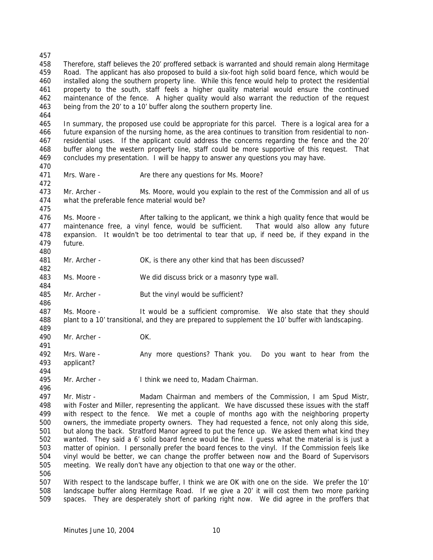Therefore, staff believes the 20' proffered setback is warranted and should remain along Hermitage Road. The applicant has also proposed to build a six-foot high solid board fence, which would be installed along the southern property line. While this fence would help to protect the residential property to the south, staff feels a higher quality material would ensure the continued maintenance of the fence. A higher quality would also warrant the reduction of the request being from the 20' to a 10' buffer along the southern property line. 

 In summary, the proposed use could be appropriate for this parcel. There is a logical area for a future expansion of the nursing home, as the area continues to transition from residential to non- residential uses. If the applicant could address the concerns regarding the fence and the 20' buffer along the western property line, staff could be more supportive of this request. That concludes my presentation. I will be happy to answer any questions you may have.

471 Mrs. Ware - Are there any questions for Ms. Moore?

 Mr. Archer - Ms. Moore, would you explain to the rest of the Commission and all of us what the preferable fence material would be?

476 Ms. Moore - After talking to the applicant, we think a high quality fence that would be maintenance free, a vinyl fence, would be sufficient. That would also allow any future expansion. It wouldn't be too detrimental to tear that up, if need be, if they expand in the future. 

481 Mr. Archer - OK, is there any other kind that has been discussed?

Ms. Moore - We did discuss brick or a masonry type wall.

485 Mr. Archer - But the vinyl would be sufficient?

 Ms. Moore - It would be a sufficient compromise. We also state that they should plant to a 10' transitional, and they are prepared to supplement the 10' buffer with landscaping.

Mr. Archer - OK.

 Mrs. Ware - Any more questions? Thank you. Do you want to hear from the applicant? 

Mr. Archer - I think we need to, Madam Chairman.

 Mr. Mistr - Madam Chairman and members of the Commission, I am Spud Mistr, with Foster and Miller, representing the applicant. We have discussed these issues with the staff with respect to the fence. We met a couple of months ago with the neighboring property owners, the immediate property owners. They had requested a fence, not only along this side, but along the back. Stratford Manor agreed to put the fence up. We asked them what kind they wanted. They said a 6' solid board fence would be fine. I guess what the material is is just a matter of opinion. I personally prefer the board fences to the vinyl. If the Commission feels like vinyl would be better, we can change the proffer between now and the Board of Supervisors meeting. We really don't have any objection to that one way or the other. 

 With respect to the landscape buffer, I think we are OK with one on the side. We prefer the 10' landscape buffer along Hermitage Road. If we give a 20' it will cost them two more parking spaces. They are desperately short of parking right now. We did agree in the proffers that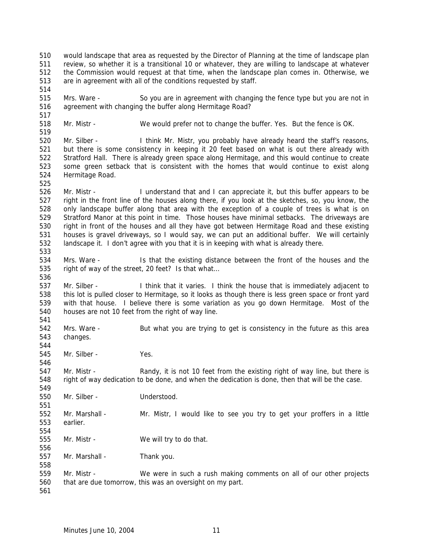would landscape that area as requested by the Director of Planning at the time of landscape plan review, so whether it is a transitional 10 or whatever, they are willing to landscape at whatever the Commission would request at that time, when the landscape plan comes in. Otherwise, we are in agreement with all of the conditions requested by staff. Mrs. Ware - So you are in agreement with changing the fence type but you are not in agreement with changing the buffer along Hermitage Road? Mr. Mistr - We would prefer not to change the buffer. Yes. But the fence is OK. Mr. Silber - I think Mr. Mistr, you probably have already heard the staff's reasons, but there is some consistency in keeping it 20 feet based on what is out there already with Stratford Hall. There is already green space along Hermitage, and this would continue to create some green setback that is consistent with the homes that would continue to exist along Hermitage Road. Mr. Mistr - I understand that and I can appreciate it, but this buffer appears to be right in the front line of the houses along there, if you look at the sketches, so, you know, the only landscape buffer along that area with the exception of a couple of trees is what is on Stratford Manor at this point in time. Those houses have minimal setbacks. The driveways are right in front of the houses and all they have got between Hermitage Road and these existing houses is gravel driveways, so I would say, we can put an additional buffer. We will certainly landscape it. I don't agree with you that it is in keeping with what is already there. Mrs. Ware - Is that the existing distance between the front of the houses and the right of way of the street, 20 feet? Is that what… Mr. Silber - I think that it varies. I think the house that is immediately adjacent to this lot is pulled closer to Hermitage, so it looks as though there is less green space or front yard with that house. I believe there is some variation as you go down Hermitage. Most of the houses are not 10 feet from the right of way line. Mrs. Ware - But what you are trying to get is consistency in the future as this area changes. Mr. Silber - Yes. 547 Mr. Mistr - Randy, it is not 10 feet from the existing right of way line, but there is right of way dedication to be done, and when the dedication is done, then that will be the case. Mr. Silber - Understood. Mr. Marshall - Mr. Mistr, I would like to see you try to get your proffers in a little earlier. Mr. Mistr - We will try to do that. Mr. Marshall - Thank you. Mr. Mistr - We were in such a rush making comments on all of our other projects that are due tomorrow, this was an oversight on my part.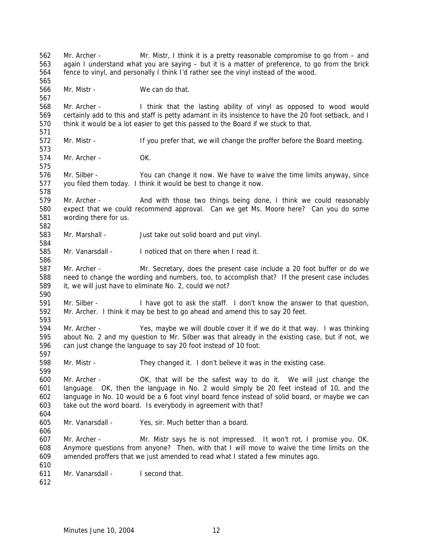Mr. Archer - Mr. Mistr, I think it is a pretty reasonable compromise to go from – and again I understand what you are saying – but it is a matter of preference, to go from the brick fence to vinyl, and personally I think I'd rather see the vinyl instead of the wood. Mr. Mistr - We can do that. Mr. Archer - I think that the lasting ability of vinyl as opposed to wood would certainly add to this and staff is petty adamant in its insistence to have the 20 foot setback, and I think it would be a lot easier to get this passed to the Board if we stuck to that. 572 Mr. Mistr - If you prefer that, we will change the proffer before the Board meeting. Mr. Archer - OK. Mr. Silber - You can change it now. We have to waive the time limits anyway, since you filed them today. I think it would be best to change it now. Mr. Archer - And with those two things being done, I think we could reasonably expect that we could recommend approval. Can we get Ms. Moore here? Can you do some wording there for us. Mr. Marshall - Just take out solid board and put vinyl. Mr. Vanarsdall - I noticed that on there when I read it. Mr. Archer - Mr. Secretary, does the present case include a 20 foot buffer or do we need to change the wording and numbers, too, to accomplish that? If the present case includes it, we will just have to eliminate No. 2, could we not? Mr. Silber - I have got to ask the staff. I don't know the answer to that question, Mr. Archer. I think it may be best to go ahead and amend this to say 20 feet. Mr. Archer - Yes, maybe we will double cover it if we do it that way. I was thinking about No. 2 and my question to Mr. Silber was that already in the existing case, but if not, we can just change the language to say 20 foot instead of 10 foot. Mr. Mistr - They changed it. I don't believe it was in the existing case. Mr. Archer - OK, that will be the safest way to do it. We will just change the language. OK, then the language in No. 2 would simply be 20 feet instead of 10, and the language in No. 10 would be a 6 foot vinyl board fence instead of solid board, or maybe we can take out the word board. Is everybody in agreement with that? Mr. Vanarsdall - Yes, sir. Much better than a board. Mr. Archer - Mr. Mistr says he is not impressed. It won't rot, I promise you. OK. Anymore questions from anyone? Then, with that I will move to waive the time limits on the amended proffers that we just amended to read what I stated a few minutes ago. Mr. Vanarsdall - I second that.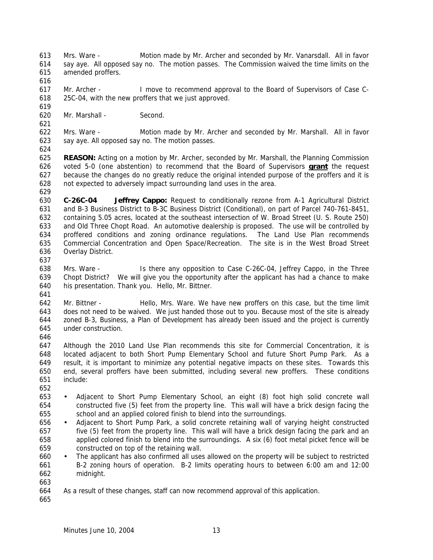Mrs. Ware - Motion made by Mr. Archer and seconded by Mr. Vanarsdall. All in favor say aye. All opposed say no. The motion passes. The Commission waived the time limits on the amended proffers.

 Mr. Archer - I move to recommend approval to the Board of Supervisors of Case C-25C-04, with the new proffers that we just approved.

Mr. Marshall - Second.

 Mrs. Ware - Motion made by Mr. Archer and seconded by Mr. Marshall. All in favor say aye. All opposed say no. The motion passes.

 **REASON:** Acting on a motion by Mr. Archer, seconded by Mr. Marshall, the Planning Commission voted 5-0 (one abstention) to recommend that the Board of Supervisors **grant** the request because the changes do no greatly reduce the original intended purpose of the proffers and it is not expected to adversely impact surrounding land uses in the area.

 **C-26C-04 Jeffrey Cappo:** Request to conditionally rezone from A-1 Agricultural District and B-3 Business District to B-3C Business District (Conditional), on part of Parcel 740-761-8451, containing 5.05 acres, located at the southeast intersection of W. Broad Street (U. S. Route 250) and Old Three Chopt Road. An automotive dealership is proposed. The use will be controlled by proffered conditions and zoning ordinance regulations. The Land Use Plan recommends Commercial Concentration and Open Space/Recreation. The site is in the West Broad Street Overlay District.

 Mrs. Ware - Is there any opposition to Case C-26C-04, Jeffrey Cappo, in the Three Chopt District? We will give you the opportunity after the applicant has had a chance to make his presentation. Thank you. Hello, Mr. Bittner. 

 Mr. Bittner - Hello, Mrs. Ware. We have new proffers on this case, but the time limit does not need to be waived. We just handed those out to you. Because most of the site is already zoned B-3, Business, a Plan of Development has already been issued and the project is currently under construction.

 Although the 2010 Land Use Plan recommends this site for Commercial Concentration, it is located adjacent to both Short Pump Elementary School and future Short Pump Park. As a result, it is important to minimize any potential negative impacts on these sites. Towards this end, several proffers have been submitted, including several new proffers. These conditions include:

- • Adjacent to Short Pump Elementary School, an eight (8) foot high solid concrete wall constructed five (5) feet from the property line. This wall will have a brick design facing the school and an applied colored finish to blend into the surroundings.
- Adjacent to Short Pump Park, a solid concrete retaining wall of varying height constructed five (5) feet from the property line. This wall will have a brick design facing the park and an applied colored finish to blend into the surroundings. A six (6) foot metal picket fence will be constructed on top of the retaining wall.
- The applicant has also confirmed all uses allowed on the property will be subject to restricted B-2 zoning hours of operation. B-2 limits operating hours to between 6:00 am and 12:00 midnight.
- 

As a result of these changes, staff can now recommend approval of this application.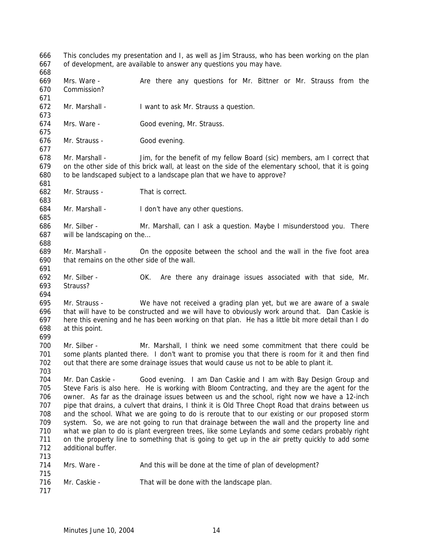This concludes my presentation and I, as well as Jim Strauss, who has been working on the plan of development, are available to answer any questions you may have. 

- 669 Mrs. Ware Are there any questions for Mr. Bittner or Mr. Strauss from the Commission?
- Mr. Marshall I want to ask Mr. Strauss a question.
- Mrs. Ware Good evening, Mr. Strauss.
- Mr. Strauss Good evening.

 Mr. Marshall - Jim, for the benefit of my fellow Board (sic) members, am I correct that on the other side of this brick wall, at least on the side of the elementary school, that it is going to be landscaped subject to a landscape plan that we have to approve?

- Mr. Strauss That is correct.
- Mr. Marshall I don't have any other questions.

 Mr. Silber - Mr. Marshall, can I ask a question. Maybe I misunderstood you. There will be landscaping on the…

- Mr. Marshall On the opposite between the school and the wall in the five foot area that remains on the other side of the wall.
- Mr. Silber OK. Are there any drainage issues associated with that side, Mr. Strauss?
- 

 Mr. Strauss - We have not received a grading plan yet, but we are aware of a swale that will have to be constructed and we will have to obviously work around that. Dan Caskie is here this evening and he has been working on that plan. He has a little bit more detail than I do at this point. 

 Mr. Silber - Mr. Marshall, I think we need some commitment that there could be some plants planted there. I don't want to promise you that there is room for it and then find out that there are some drainage issues that would cause us not to be able to plant it.

 Mr. Dan Caskie - Good evening. I am Dan Caskie and I am with Bay Design Group and Steve Faris is also here. He is working with Bloom Contracting, and they are the agent for the owner. As far as the drainage issues between us and the school, right now we have a 12-inch pipe that drains, a culvert that drains, I think it is Old Three Chopt Road that drains between us and the school. What we are going to do is reroute that to our existing or our proposed storm system. So, we are not going to run that drainage between the wall and the property line and what we plan to do is plant evergreen trees, like some Leylands and some cedars probably right on the property line to something that is going to get up in the air pretty quickly to add some additional buffer. 

- Mrs. Ware And this will be done at the time of plan of development?
- 716 Mr. Caskie That will be done with the landscape plan.
-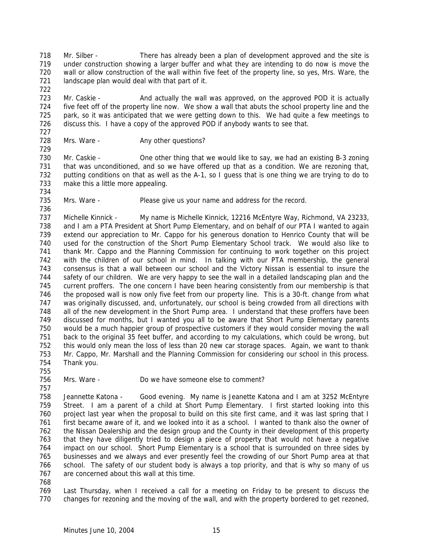Mr. Silber - There has already been a plan of development approved and the site is under construction showing a larger buffer and what they are intending to do now is move the wall or allow construction of the wall within five feet of the property line, so yes, Mrs. Ware, the landscape plan would deal with that part of it. 

723 Mr. Caskie - And actually the wall was approved, on the approved POD it is actually five feet off of the property line now. We show a wall that abuts the school property line and the park, so it was anticipated that we were getting down to this. We had quite a few meetings to discuss this. I have a copy of the approved POD if anybody wants to see that. 

728 Mrs. Ware - Any other questions?

730 Mr. Caskie - One other thing that we would like to say, we had an existing B-3 zoning that was unconditioned, and so we have offered up that as a condition. We are rezoning that, putting conditions on that as well as the A-1, so I guess that is one thing we are trying to do to make this a little more appealing.

Mrs. Ware - Please give us your name and address for the record.

737 Michelle Kinnick - My name is Michelle Kinnick, 12216 McEntyre Way, Richmond, VA 23233, and I am a PTA President at Short Pump Elementary, and on behalf of our PTA I wanted to again extend our appreciation to Mr. Cappo for his generous donation to Henrico County that will be used for the construction of the Short Pump Elementary School track. We would also like to thank Mr. Cappo and the Planning Commission for continuing to work together on this project with the children of our school in mind. In talking with our PTA membership, the general consensus is that a wall between our school and the Victory Nissan is essential to insure the safety of our children. We are very happy to see the wall in a detailed landscaping plan and the current proffers. The one concern I have been hearing consistently from our membership is that the proposed wall is now only five feet from our property line. This is a 30-ft. change from what was originally discussed, and, unfortunately, our school is being crowded from all directions with all of the new development in the Short Pump area. I understand that these proffers have been discussed for months, but I wanted you all to be aware that Short Pump Elementary parents would be a much happier group of prospective customers if they would consider moving the wall back to the original 35 feet buffer, and according to my calculations, which could be wrong, but this would only mean the loss of less than 20 new car storage spaces. Again, we want to thank Mr. Cappo, Mr. Marshall and the Planning Commission for considering our school in this process. Thank you.

Mrs. Ware - Do we have someone else to comment?

 Jeannette Katona - Good evening. My name is Jeanette Katona and I am at 3252 McEntyre Street. I am a parent of a child at Short Pump Elementary. I first started looking into this project last year when the proposal to build on this site first came, and it was last spring that I first became aware of it, and we looked into it as a school. I wanted to thank also the owner of the Nissan Dealership and the design group and the County in their development of this property that they have diligently tried to design a piece of property that would not have a negative impact on our school. Short Pump Elementary is a school that is surrounded on three sides by businesses and we always and ever presently feel the crowding of our Short Pump area at that school. The safety of our student body is always a top priority, and that is why so many of us are concerned about this wall at this time.

 Last Thursday, when I received a call for a meeting on Friday to be present to discuss the changes for rezoning and the moving of the wall, and with the property bordered to get rezoned,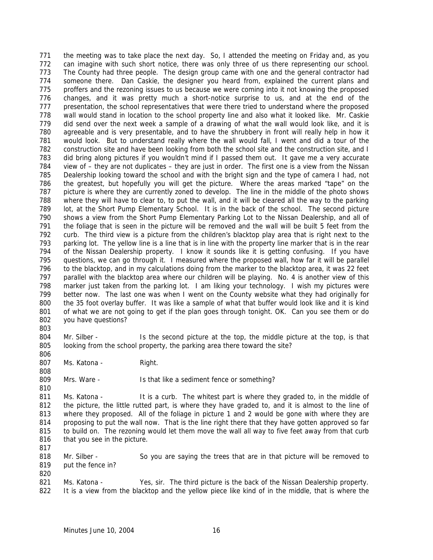the meeting was to take place the next day. So, I attended the meeting on Friday and, as you can imagine with such short notice, there was only three of us there representing our school. The County had three people. The design group came with one and the general contractor had someone there. Dan Caskie, the designer you heard from, explained the current plans and proffers and the rezoning issues to us because we were coming into it not knowing the proposed changes, and it was pretty much a short-notice surprise to us, and at the end of the presentation, the school representatives that were there tried to understand where the proposed wall would stand in location to the school property line and also what it looked like. Mr. Caskie did send over the next week a sample of a drawing of what the wall would look like, and it is agreeable and is very presentable, and to have the shrubbery in front will really help in how it would look. But to understand really where the wall would fall, I went and did a tour of the construction site and have been looking from both the school site and the construction site, and I did bring along pictures if you wouldn't mind if I passed them out. It gave me a very accurate view of – they are not duplicates – they are just in order. The first one is a view from the Nissan Dealership looking toward the school and with the bright sign and the type of camera I had, not the greatest, but hopefully you will get the picture. Where the areas marked "tape" on the picture is where they are currently zoned to develop. The line in the middle of the photo shows where they will have to clear to, to put the wall, and it will be cleared all the way to the parking lot, at the Short Pump Elementary School. It is in the back of the school. The second picture shows a view from the Short Pump Elementary Parking Lot to the Nissan Dealership, and all of the foliage that is seen in the picture will be removed and the wall will be built 5 feet from the curb. The third view is a picture from the children's blacktop play area that is right next to the parking lot. The yellow line is a line that is in line with the property line marker that is in the rear of the Nissan Dealership property. I know it sounds like it is getting confusing. If you have questions, we can go through it. I measured where the proposed wall, how far it will be parallel to the blacktop, and in my calculations doing from the marker to the blacktop area, it was 22 feet parallel with the blacktop area where our children will be playing. No. 4 is another view of this marker just taken from the parking lot. I am liking your technology. I wish my pictures were better now. The last one was when I went on the County website what they had originally for the 35 foot overlay buffer. It was like a sample of what that buffer would look like and it is kind of what we are not going to get if the plan goes through tonight. OK. Can you see them or do you have questions?

804 Mr. Silber - Is the second picture at the top, the middle picture at the top, is that looking from the school property, the parking area there toward the site?

807 Ms. Katona - Right.

809 Mrs. Ware - Is that like a sediment fence or something?

811 Ms. Katona - It is a curb. The whitest part is where they graded to, in the middle of the picture, the little rutted part, is where they have graded to, and it is almost to the line of where they proposed. All of the foliage in picture 1 and 2 would be gone with where they are proposing to put the wall now. That is the line right there that they have gotten approved so far to build on. The rezoning would let them move the wall all way to five feet away from that curb 816 that you see in the picture.

 Mr. Silber - So you are saying the trees that are in that picture will be removed to 819 put the fence in? 

821 Ms. Katona - Yes, sir. The third picture is the back of the Nissan Dealership property. It is a view from the blacktop and the yellow piece like kind of in the middle, that is where the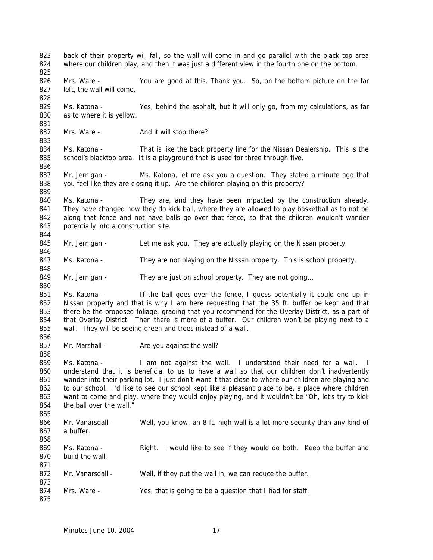back of their property will fall, so the wall will come in and go parallel with the black top area 824 where our children play, and then it was just a different view in the fourth one on the bottom. 826 Mrs. Ware - You are good at this. Thank you. So, on the bottom picture on the far 827 left, the wall will come, Ms. Katona - Yes, behind the asphalt, but it will only go, from my calculations, as far as to where it is yellow. 832 Mrs. Ware - And it will stop there? 834 Ms. Katona - That is like the back property line for the Nissan Dealership. This is the 835 school's blacktop area. It is a playground that is used for three through five. Mr. Jernigan - Ms. Katona, let me ask you a question. They stated a minute ago that you feel like they are closing it up. Are the children playing on this property? Ms. Katona - They are, and they have been impacted by the construction already. They have changed how they do kick ball, where they are allowed to play basketball as to not be 842 along that fence and not have balls go over that fence, so that the children wouldn't wander 843 potentially into a construction site. Mr. Jernigan - Let me ask you. They are actually playing on the Nissan property. 847 Ms. Katona - They are not playing on the Nissan property. This is school property. 849 Mr. Jernigan - They are just on school property. They are not going... Ms. Katona - If the ball goes over the fence, I guess potentially it could end up in Nissan property and that is why I am here requesting that the 35 ft. buffer be kept and that there be the proposed foliage, grading that you recommend for the Overlay District, as a part of that Overlay District. Then there is more of a buffer. Our children won't be playing next to a wall. They will be seeing green and trees instead of a wall. 857 Mr. Marshall – Are you against the wall? Ms. Katona - I am not against the wall. I understand their need for a wall. I understand that it is beneficial to us to have a wall so that our children don't inadvertently 861 wander into their parking lot. I just don't want it that close to where our children are playing and to our school. I'd like to see our school kept like a pleasant place to be, a place where children 863 want to come and play, where they would enjoy playing, and it wouldn't be "Oh, let's try to kick 864 the ball over the wall." 866 Mr. Vanarsdall - Well, you know, an 8 ft. high wall is a lot more security than any kind of a buffer. Ms. Katona - Right. I would like to see if they would do both. Keep the buffer and build the wall. 872 Mr. Vanarsdall - Well, if they put the wall in, we can reduce the buffer. 874 Mrs. Ware - Yes, that is going to be a question that I had for staff.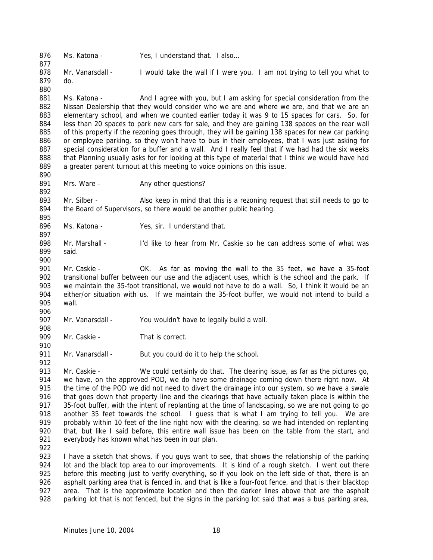876 Ms. Katona - Yes, I understand that. I also... 878 Mr. Vanarsdall - I would take the wall if I were you. I am not trying to tell you what to do. 881 Ms. Katona - And I agree with you, but I am asking for special consideration from the Nissan Dealership that they would consider who we are and where we are, and that we are an elementary school, and when we counted earlier today it was 9 to 15 spaces for cars. So, for less than 20 spaces to park new cars for sale, and they are gaining 138 spaces on the rear wall of this property if the rezoning goes through, they will be gaining 138 spaces for new car parking or employee parking, so they won't have to bus in their employees, that I was just asking for special consideration for a buffer and a wall. And I really feel that if we had had the six weeks that Planning usually asks for for looking at this type of material that I think we would have had a greater parent turnout at this meeting to voice opinions on this issue. 891 Mrs. Ware - Any other questions? 893 Mr. Silber - Also keep in mind that this is a rezoning request that still needs to go to 894 the Board of Supervisors, so there would be another public hearing. 896 Ms. Katona - Yes, sir. I understand that. Mr. Marshall - I'd like to hear from Mr. Caskie so he can address some of what was said. Mr. Caskie - OK. As far as moving the wall to the 35 feet, we have a 35-foot 902 transitional buffer between our use and the adjacent uses, which is the school and the park. If we maintain the 35-foot transitional, we would not have to do a wall. So, I think it would be an either/or situation with us. If we maintain the 35-foot buffer, we would not intend to build a wall. 907 Mr. Vanarsdall - You wouldn't have to legally build a wall. 909 Mr. Caskie - That is correct. 911 Mr. Vanarsdall - But you could do it to help the school. Mr. Caskie - We could certainly do that. The clearing issue, as far as the pictures go, we have, on the approved POD, we do have some drainage coming down there right now. At 915 the time of the POD we did not need to divert the drainage into our system, so we have a swale 916 that goes down that property line and the clearings that have actually taken place is within the 35-foot buffer, with the intent of replanting at the time of landscaping, so we are not going to go 918 another 35 feet towards the school. I quess that is what I am trying to tell you. We are probably within 10 feet of the line right now with the clearing, so we had intended on replanting that, but like I said before, this entire wall issue has been on the table from the start, and everybody has known what has been in our plan. I have a sketch that shows, if you guys want to see, that shows the relationship of the parking 924 lot and the black top area to our improvements. It is kind of a rough sketch. I went out there 925 before this meeting just to verify everything, so if you look on the left side of that, there is an 926 asphalt parking area that is fenced in, and that is like a four-foot fence, and that is their blacktop area. That is the approximate location and then the darker lines above that are the asphalt

parking lot that is not fenced, but the signs in the parking lot said that was a bus parking area,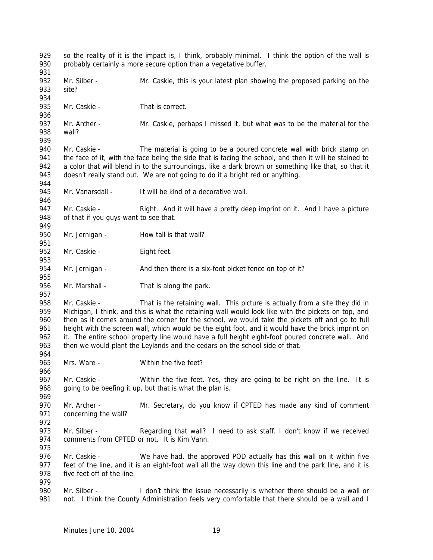929 so the reality of it is the impact is, I think, probably minimal. I think the option of the wall is 930 probably certainly a more secure option than a vegetative buffer. 932 Mr. Silber - Mr. Caskie, this is your latest plan showing the proposed parking on the site? 935 Mr. Caskie - That is correct. Mr. Archer - Mr. Caskie, perhaps I missed it, but what was to be the material for the wall? Mr. Caskie - The material is going to be a poured concrete wall with brick stamp on the face of it, with the face being the side that is facing the school, and then it will be stained to a color that will blend in to the surroundings, like a dark brown or something like that, so that it 943 doesn't really stand out. We are not going to do it a bright red or anything. 945 Mr. Vanarsdall - It will be kind of a decorative wall. 947 Mr. Caskie - Right. And it will have a pretty deep imprint on it. And I have a picture of that if you guys want to see that. 950 Mr. Jernigan - How tall is that wall? 952 Mr. Caskie - Eight feet. 954 Mr. Jernigan - And then there is a six-foot picket fence on top of it? 956 Mr. Marshall - That is along the park. 958 Mr. Caskie - That is the retaining wall. This picture is actually from a site they did in Michigan, I think, and this is what the retaining wall would look like with the pickets on top, and then as it comes around the corner for the school, we would take the pickets off and go to full 961 height with the screen wall, which would be the eight foot, and it would have the brick imprint on it. The entire school property line would have a full height eight-foot poured concrete wall. And then we would plant the Leylands and the cedars on the school side of that. 965 Mrs. Ware - Within the five feet? 967 Mr. Caskie - Within the five feet. Yes, they are going to be right on the line. It is 968 going to be beefing it up, but that is what the plan is. Mr. Archer - Mr. Secretary, do you know if CPTED has made any kind of comment concerning the wall? 973 Mr. Silber - Regarding that wall? I need to ask staff. I don't know if we received comments from CPTED or not. It is Kim Vann. Mr. Caskie - We have had, the approved POD actually has this wall on it within five feet of the line, and it is an eight-foot wall all the way down this line and the park line, and it is five feet off of the line. Mr. Silber - I don't think the issue necessarily is whether there should be a wall or 981 not. I think the County Administration feels very comfortable that there should be a wall and I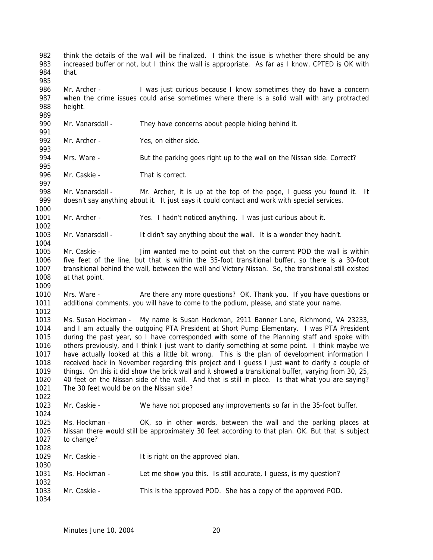think the details of the wall will be finalized. I think the issue is whether there should be any increased buffer or not, but I think the wall is appropriate. As far as I know, CPTED is OK with that. Mr. Archer - I was just curious because I know sometimes they do have a concern when the crime issues could arise sometimes where there is a solid wall with any protracted height. 990 Mr. Vanarsdall - They have concerns about people hiding behind it. Mr. Archer - Yes, on either side. Mrs. Ware - But the parking goes right up to the wall on the Nissan side. Correct? 996 Mr. Caskie - That is correct. Mr. Vanarsdall - Mr. Archer, it is up at the top of the page, I guess you found it. It doesn't say anything about it. It just says it could contact and work with special services. Mr. Archer - Yes. I hadn't noticed anything. I was just curious about it. Mr. Vanarsdall - It didn't say anything about the wall. It is a wonder they hadn't. Mr. Caskie - Jim wanted me to point out that on the current POD the wall is within five feet of the line, but that is within the 35-foot transitional buffer, so there is a 30-foot transitional behind the wall, between the wall and Victory Nissan. So, the transitional still existed at that point. Mrs. Ware - Are there any more questions? OK. Thank you. If you have questions or additional comments, you will have to come to the podium, please, and state your name. Ms. Susan Hockman - My name is Susan Hockman, 2911 Banner Lane, Richmond, VA 23233, and I am actually the outgoing PTA President at Short Pump Elementary. I was PTA President during the past year, so I have corresponded with some of the Planning staff and spoke with others previously, and I think I just want to clarify something at some point. I think maybe we have actually looked at this a little bit wrong. This is the plan of development information I received back in November regarding this project and I guess I just want to clarify a couple of things. On this it did show the brick wall and it showed a transitional buffer, varying from 30, 25, 40 feet on the Nissan side of the wall. And that is still in place. Is that what you are saying? The 30 feet would be on the Nissan side? Mr. Caskie - We have not proposed any improvements so far in the 35-foot buffer. Ms. Hockman - OK, so in other words, between the wall and the parking places at Nissan there would still be approximately 30 feet according to that plan. OK. But that is subject to change? 1029 Mr. Caskie - It is right on the approved plan. Ms. Hockman - Let me show you this. Is still accurate, I guess, is my question? Mr. Caskie - This is the approved POD. She has a copy of the approved POD.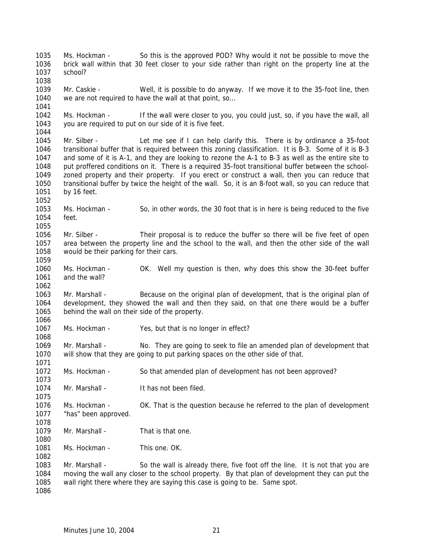Ms. Hockman - So this is the approved POD? Why would it not be possible to move the brick wall within that 30 feet closer to your side rather than right on the property line at the school? Mr. Caskie - Well, it is possible to do anyway. If we move it to the 35-foot line, then 1040 we are not required to have the wall at that point, so... Ms. Hockman - If the wall were closer to you, you could just, so, if you have the wall, all you are required to put on our side of it is five feet. Mr. Silber - Let me see if I can help clarify this. There is by ordinance a 35-foot transitional buffer that is required between this zoning classification. It is B-3. Some of it is B-3 and some of it is A-1, and they are looking to rezone the A-1 to B-3 as well as the entire site to put proffered conditions on it. There is a required 35-foot transitional buffer between the school- zoned property and their property. If you erect or construct a wall, then you can reduce that transitional buffer by twice the height of the wall. So, it is an 8-foot wall, so you can reduce that by 16 feet. Ms. Hockman - So, in other words, the 30 foot that is in here is being reduced to the five feet. Mr. Silber - Their proposal is to reduce the buffer so there will be five feet of open area between the property line and the school to the wall, and then the other side of the wall would be their parking for their cars. Ms. Hockman - OK. Well my question is then, why does this show the 30-feet buffer and the wall? Mr. Marshall - Because on the original plan of development, that is the original plan of development, they showed the wall and then they said, on that one there would be a buffer behind the wall on their side of the property. Ms. Hockman - Yes, but that is no longer in effect? Mr. Marshall - No. They are going to seek to file an amended plan of development that will show that they are going to put parking spaces on the other side of that. Ms. Hockman - So that amended plan of development has not been approved? 1074 Mr. Marshall - It has not been filed. Ms. Hockman - OK. That is the question because he referred to the plan of development "has" been approved. 1079 Mr. Marshall - That is that one. 1081 Ms. Hockman - This one. OK. Mr. Marshall - So the wall is already there, five foot off the line. It is not that you are moving the wall any closer to the school property. By that plan of development they can put the wall right there where they are saying this case is going to be. Same spot.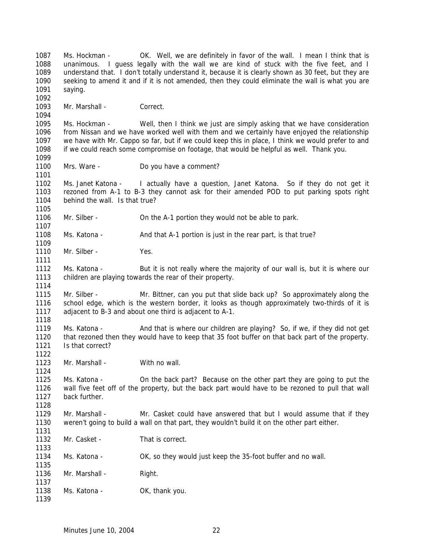Ms. Hockman - OK. Well, we are definitely in favor of the wall. I mean I think that is unanimous. I guess legally with the wall we are kind of stuck with the five feet, and I understand that. I don't totally understand it, because it is clearly shown as 30 feet, but they are seeking to amend it and if it is not amended, then they could eliminate the wall is what you are saying. Mr. Marshall - Correct. Ms. Hockman - Well, then I think we just are simply asking that we have consideration from Nissan and we have worked well with them and we certainly have enjoyed the relationship we have with Mr. Cappo so far, but if we could keep this in place, I think we would prefer to and if we could reach some compromise on footage, that would be helpful as well. Thank you. 1100 Mrs. Ware - Do you have a comment? Ms. Janet Katona - I actually have a question, Janet Katona. So if they do not get it rezoned from A-1 to B-3 they cannot ask for their amended POD to put parking spots right behind the wall. Is that true? 1106 Mr. Silber - On the A-1 portion they would not be able to park. 1108 Ms. Katona - And that A-1 portion is just in the rear part, is that true? 1110 Mr. Silber - Yes. Ms. Katona - But it is not really where the majority of our wall is, but it is where our children are playing towards the rear of their property. Mr. Silber - Mr. Bittner, can you put that slide back up? So approximately along the school edge, which is the western border, it looks as though approximately two-thirds of it is adjacent to B-3 and about one third is adjacent to A-1. Ms. Katona - And that is where our children are playing? So, if we, if they did not get that rezoned then they would have to keep that 35 foot buffer on that back part of the property. Is that correct? Mr. Marshall - With no wall. Ms. Katona - On the back part? Because on the other part they are going to put the wall five feet off of the property, but the back part would have to be rezoned to pull that wall back further. 1129 Mr. Marshall - Mr. Casket could have answered that but I would assume that if they weren't going to build a wall on that part, they wouldn't build it on the other part either. 1132 Mr. Casket - That is correct. Ms. Katona - OK, so they would just keep the 35-foot buffer and no wall. 1136 Mr. Marshall - Right. 1138 Ms. Katona - OK, thank you.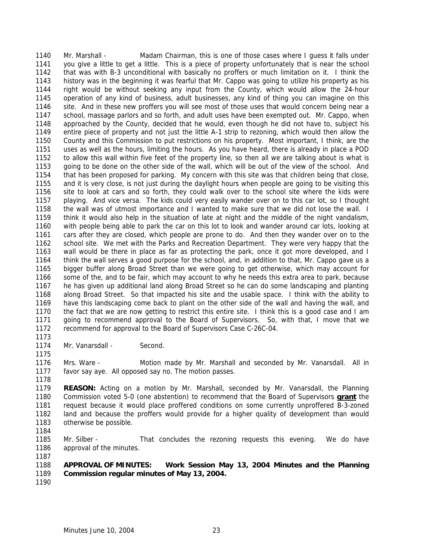Mr. Marshall - Madam Chairman, this is one of those cases where I guess it falls under you give a little to get a little. This is a piece of property unfortunately that is near the school that was with B-3 unconditional with basically no proffers or much limitation on it. I think the history was in the beginning it was fearful that Mr. Cappo was going to utilize his property as his right would be without seeking any input from the County, which would allow the 24-hour operation of any kind of business, adult businesses, any kind of thing you can imagine on this site. And in these new proffers you will see most of those uses that would concern being near a school, massage parlors and so forth, and adult uses have been exempted out. Mr. Cappo, when approached by the County, decided that he would, even though he did not have to, subject his entire piece of property and not just the little A-1 strip to rezoning, which would then allow the County and this Commission to put restrictions on his property. Most important, I think, are the uses as well as the hours, limiting the hours. As you have heard, there is already in place a POD to allow this wall within five feet of the property line, so then all we are talking about is what is going to be done on the other side of the wall, which will be out of the view of the school. And that has been proposed for parking. My concern with this site was that children being that close, and it is very close, is not just during the daylight hours when people are going to be visiting this site to look at cars and so forth, they could walk over to the school site where the kids were playing. And vice versa. The kids could very easily wander over on to this car lot, so I thought the wall was of utmost importance and I wanted to make sure that we did not lose the wall. I think it would also help in the situation of late at night and the middle of the night vandalism, with people being able to park the car on this lot to look and wander around car lots, looking at cars after they are closed, which people are prone to do. And then they wander over on to the school site. We met with the Parks and Recreation Department. They were very happy that the wall would be there in place as far as protecting the park, once it got more developed, and I think the wall serves a good purpose for the school, and, in addition to that, Mr. Cappo gave us a bigger buffer along Broad Street than we were going to get otherwise, which may account for some of the, and to be fair, which may account to why he needs this extra area to park, because he has given up additional land along Broad Street so he can do some landscaping and planting along Broad Street. So that impacted his site and the usable space. I think with the ability to have this landscaping come back to plant on the other side of the wall and having the wall, and the fact that we are now getting to restrict this entire site. I think this is a good case and I am going to recommend approval to the Board of Supervisors. So, with that, I move that we recommend for approval to the Board of Supervisors Case C-26C-04.

1174 Mr. Vanarsdall - Second.

 Mrs. Ware - Motion made by Mr. Marshall and seconded by Mr. Vanarsdall. All in favor say aye. All opposed say no. The motion passes.

 **REASON:** Acting on a motion by Mr. Marshall, seconded by Mr. Vanarsdall, the Planning Commission voted 5-0 (one abstention) to recommend that the Board of Supervisors **grant** the request because it would place proffered conditions on some currently unproffered B-3-zoned land and because the proffers would provide for a higher quality of development than would otherwise be possible. 

 Mr. Silber - That concludes the rezoning requests this evening. We do have approval of the minutes. 

 **APPROVAL OF MINUTES: Work Session May 13, 2004 Minutes and the Planning Commission regular minutes of May 13, 2004.** 

Minutes June 10, 2004 23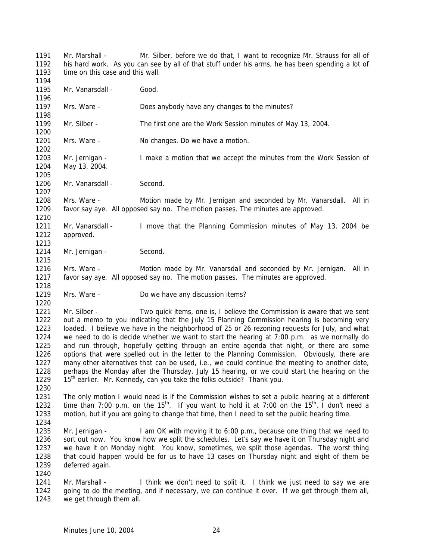Mr. Marshall - Mr. Silber, before we do that, I want to recognize Mr. Strauss for all of his hard work. As you can see by all of that stuff under his arms, he has been spending a lot of 1193 time on this case and this wall. 1195 Mr. Vanarsdall - Good. Mrs. Ware - Does anybody have any changes to the minutes? Mr. Silber - The first one are the Work Session minutes of May 13, 2004. 1201 Mrs. Ware - No changes. Do we have a motion. Mr. Jernigan - I make a motion that we accept the minutes from the Work Session of May 13, 2004. 1206 Mr. Vanarsdall - Second. Mrs. Ware - Motion made by Mr. Jernigan and seconded by Mr. Vanarsdall. All in favor say aye. All opposed say no. The motion passes. The minutes are approved. Mr. Vanarsdall - I move that the Planning Commission minutes of May 13, 2004 be approved. 1214 Mr. Jernigan - Second. Mrs. Ware - Motion made by Mr. Vanarsdall and seconded by Mr. Jernigan. All in favor say aye. All opposed say no. The motion passes. The minutes are approved. Mrs. Ware - Do we have any discussion items? Mr. Silber - Two quick items, one is, I believe the Commission is aware that we sent out a memo to you indicating that the July 15 Planning Commission hearing is becoming very loaded. I believe we have in the neighborhood of 25 or 26 rezoning requests for July, and what we need to do is decide whether we want to start the hearing at 7:00 p.m. as we normally do and run through, hopefully getting through an entire agenda that night, or there are some options that were spelled out in the letter to the Planning Commission. Obviously, there are many other alternatives that can be used, i.e., we could continue the meeting to another date, perhaps the Monday after the Thursday, July 15 hearing, or we could start the hearing on the 1229 15<sup>th</sup> earlier. Mr. Kennedy, can you take the folks outside? Thank you. The only motion I would need is if the Commission wishes to set a public hearing at a different 1232 time than 7:00 p.m. on the  $15^{th}$ . If you want to hold it at 7:00 on the  $15^{th}$ , I don't need a motion, but if you are going to change that time, then I need to set the public hearing time. Mr. Jernigan - I am OK with moving it to 6:00 p.m., because one thing that we need to sort out now. You know how we split the schedules. Let's say we have it on Thursday night and we have it on Monday night. You know, sometimes, we split those agendas. The worst thing that could happen would be for us to have 13 cases on Thursday night and eight of them be deferred again. 1241 Mr. Marshall - I think we don't need to split it. I think we just need to say we are 1242 going to do the meeting, and if necessary, we can continue it over. If we get through them all, we get through them all.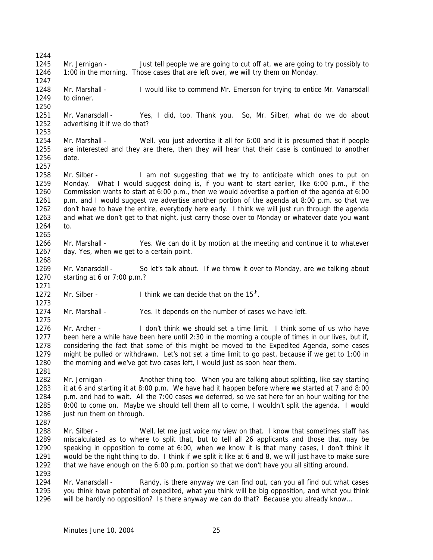Mr. Jernigan - Just tell people we are going to cut off at, we are going to try possibly to 1:00 in the morning. Those cases that are left over, we will try them on Monday. 1248 Mr. Marshall - I would like to commend Mr. Emerson for trying to entice Mr. Vanarsdall to dinner. Mr. Vanarsdall - Yes, I did, too. Thank you. So, Mr. Silber, what do we do about advertising it if we do that? Mr. Marshall - Well, you just advertise it all for 6:00 and it is presumed that if people are interested and they are there, then they will hear that their case is continued to another date. 1258 Mr. Silber - I am not suggesting that we try to anticipate which ones to put on Monday. What I would suggest doing is, if you want to start earlier, like 6:00 p.m., if the Commission wants to start at 6:00 p.m., then we would advertise a portion of the agenda at 6:00 p.m. and I would suggest we advertise another portion of the agenda at 8:00 p.m. so that we don't have to have the entire, everybody here early. I think we will just run through the agenda and what we don't get to that night, just carry those over to Monday or whatever date you want to. Mr. Marshall - Yes. We can do it by motion at the meeting and continue it to whatever day. Yes, when we get to a certain point. Mr. Vanarsdall - So let's talk about. If we throw it over to Monday, are we talking about starting at 6 or 7:00 p.m.? 1272 Mr. Silber - I think we can decide that on the  $15<sup>th</sup>$ . Mr. Marshall - Yes. It depends on the number of cases we have left. Mr. Archer - I don't think we should set a time limit. I think some of us who have been here a while have been here until 2:30 in the morning a couple of times in our lives, but if, considering the fact that some of this might be moved to the Expedited Agenda, some cases might be pulled or withdrawn. Let's not set a time limit to go past, because if we get to 1:00 in the morning and we've got two cases left, I would just as soon hear them. Mr. Jernigan - Another thing too. When you are talking about splitting, like say starting it at 6 and starting it at 8:00 p.m. We have had it happen before where we started at 7 and 8:00 p.m. and had to wait. All the 7:00 cases we deferred, so we sat here for an hour waiting for the 8:00 to come on. Maybe we should tell them all to come, I wouldn't split the agenda. I would 1286 just run them on through. Mr. Silber - Well, let me just voice my view on that. I know that sometimes staff has miscalculated as to where to split that, but to tell all 26 applicants and those that may be speaking in opposition to come at 6:00, when we know it is that many cases, I don't think it would be the right thing to do. I think if we split it like at 6 and 8, we will just have to make sure that we have enough on the 6:00 p.m. portion so that we don't have you all sitting around. 1294 Mr. Vanarsdall - Randy, is there anyway we can find out, can you all find out what cases you think have potential of expedited, what you think will be big opposition, and what you think will be hardly no opposition? Is there anyway we can do that? Because you already know…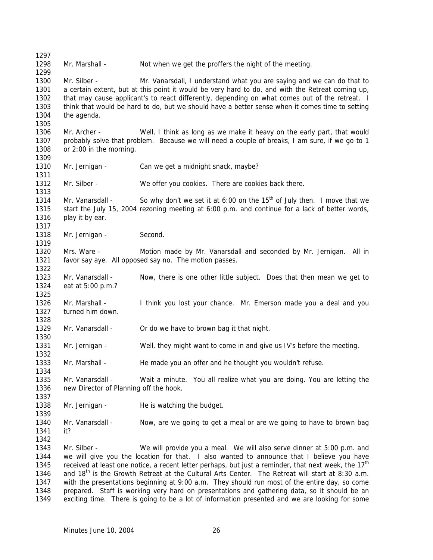1298 Mr. Marshall - Not when we get the proffers the night of the meeting. 1300 Mr. Silber - Mr. Vanarsdall, I understand what you are saying and we can do that to a certain extent, but at this point it would be very hard to do, and with the Retreat coming up, 1302 that may cause applicant's to react differently, depending on what comes out of the retreat. I think that would be hard to do, but we should have a better sense when it comes time to setting the agenda. Mr. Archer - Well, I think as long as we make it heavy on the early part, that would probably solve that problem. Because we will need a couple of breaks, I am sure, if we go to 1 or 2:00 in the morning. 1310 Mr. Jernigan - Can we get a midnight snack, maybe? 1312 Mr. Silber - We offer you cookies. There are cookies back there. 1314 Mr. Vanarsdall - So why don't we set it at 6:00 on the  $15<sup>th</sup>$  of July then. I move that we start the July 15, 2004 rezoning meeting at 6:00 p.m. and continue for a lack of better words, 1316 play it by ear. 1318 Mr. Jernigan - Second. Mrs. Ware - Motion made by Mr. Vanarsdall and seconded by Mr. Jernigan. All in favor say aye. All opposed say no. The motion passes. Mr. Vanarsdall - Now, there is one other little subject. Does that then mean we get to eat at 5:00 p.m.? 1326 Mr. Marshall - I think you lost your chance. Mr. Emerson made you a deal and you turned him down. 1329 Mr. Vanarsdall - Or do we have to brown bag it that night. Mr. Jernigan - Well, they might want to come in and give us IV's before the meeting. 1333 Mr. Marshall - He made you an offer and he thought you wouldn't refuse. Mr. Vanarsdall - Wait a minute. You all realize what you are doing. You are letting the new Director of Planning off the hook. 1338 Mr. Jernigan - He is watching the budget. Mr. Vanarsdall - Now, are we going to get a meal or are we going to have to brown bag it? Mr. Silber - We will provide you a meal. We will also serve dinner at 5:00 p.m. and we will give you the location for that. I also wanted to announce that I believe you have 1345 received at least one notice, a recent letter perhaps, but just a reminder, that next week, the  $17<sup>th</sup>$ 1346 and  $18<sup>th</sup>$  is the Growth Retreat at the Cultural Arts Center. The Retreat will start at 8:30 a.m. with the presentations beginning at 9:00 a.m. They should run most of the entire day, so come prepared. Staff is working very hard on presentations and gathering data, so it should be an exciting time. There is going to be a lot of information presented and we are looking for some